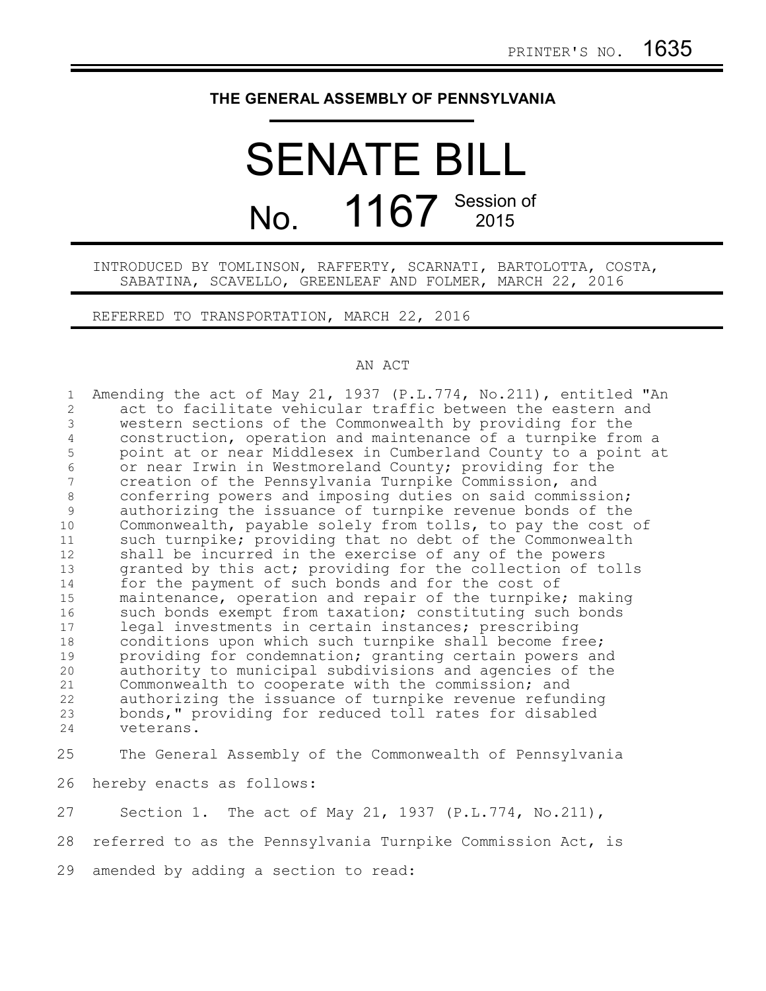## **THE GENERAL ASSEMBLY OF PENNSYLVANIA**

## SENATE BILL No. 1167 Session of

## INTRODUCED BY TOMLINSON, RAFFERTY, SCARNATI, BARTOLOTTA, COSTA, SABATINA, SCAVELLO, GREENLEAF AND FOLMER, MARCH 22, 2016

REFERRED TO TRANSPORTATION, MARCH 22, 2016

## AN ACT

| $\mathbf{1}$    | Amending the act of May 21, 1937 (P.L.774, No.211), entitled "An |
|-----------------|------------------------------------------------------------------|
| $\overline{2}$  | act to facilitate vehicular traffic between the eastern and      |
| 3               | western sections of the Commonwealth by providing for the        |
| $\overline{4}$  | construction, operation and maintenance of a turnpike from a     |
| 5               | point at or near Middlesex in Cumberland County to a point at    |
| $\sqrt{6}$      | or near Irwin in Westmoreland County; providing for the          |
| $7\overline{ }$ | creation of the Pennsylvania Turnpike Commission, and            |
| 8               | conferring powers and imposing duties on said commission;        |
| $\mathsf 9$     | authorizing the issuance of turnpike revenue bonds of the        |
| 10              | Commonwealth, payable solely from tolls, to pay the cost of      |
| 11              | such turnpike; providing that no debt of the Commonwealth        |
| 12              | shall be incurred in the exercise of any of the powers           |
| 13              | granted by this act; providing for the collection of tolls       |
| 14              | for the payment of such bonds and for the cost of                |
| 15              | maintenance, operation and repair of the turnpike; making        |
| 16              | such bonds exempt from taxation; constituting such bonds         |
| 17              | legal investments in certain instances; prescribing              |
| 18              | conditions upon which such turnpike shall become free;           |
| 19              | providing for condemnation; granting certain powers and          |
| 20              | authority to municipal subdivisions and agencies of the          |
| 21              | Commonwealth to cooperate with the commission; and               |
| 22              | authorizing the issuance of turnpike revenue refunding           |
| 23              | bonds," providing for reduced toll rates for disabled            |
| 24              | veterans.                                                        |
| 25              | The General Assembly of the Commonwealth of Pennsylvania         |
| 26              | hereby enacts as follows:                                        |
|                 |                                                                  |
| 27              | Section 1. The act of May 21, 1937 (P.L.774, No.211),            |
| 28              | referred to as the Pennsylvania Turnpike Commission Act, is      |

29 amended by adding a section to read: